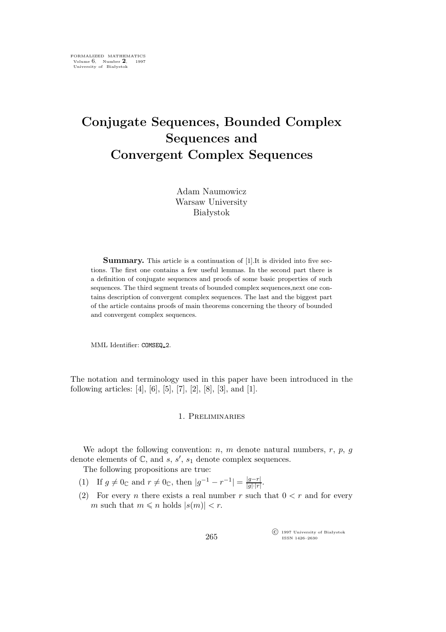# **Conjugate Sequences, Bounded Complex Sequences and Convergent Complex Sequences**

Adam Naumowicz Warsaw University Białystok

**Summary.** This article is a continuation of [1]. It is divided into five sections. The first one contains a few useful lemmas. In the second part there is a definition of conjugate sequences and proofs of some basic properties of such sequences. The third segment treats of bounded complex sequences,next one contains description of convergent complex sequences. The last and the biggest part of the article contains proofs of main theorems concerning the theory of bounded and convergent complex sequences.

MML Identifier: COMSEQ 2.

The notation and terminology used in this paper have been introduced in the following articles: [4], [6], [5], [7], [2], [8], [3], and [1].

# 1. Preliminaries

We adopt the following convention:  $n$ ,  $m$  denote natural numbers,  $r$ ,  $p$ ,  $q$ denote elements of  $\mathbb{C}$ , and  $s$ ,  $s'$ ,  $s_1$  denote complex sequences.

The following propositions are true:

- $(1)$  If  $g \neq 0_{\mathbb{C}}$  and  $r \neq 0_{\mathbb{C}}$ , then  $|g^{-1} r^{-1}| = \frac{|g-r|}{|g| \cdot |r|}$  $\frac{|g-r|}{|g|\cdot|r|}$ .
- (2) For every *n* there exists a real number *r* such that  $0 < r$  and for every m such that  $m \leq n$  holds  $|s(m)| < r$ .

 $\widehat{C}$  1997 University of Białystok ISSN 1426–2630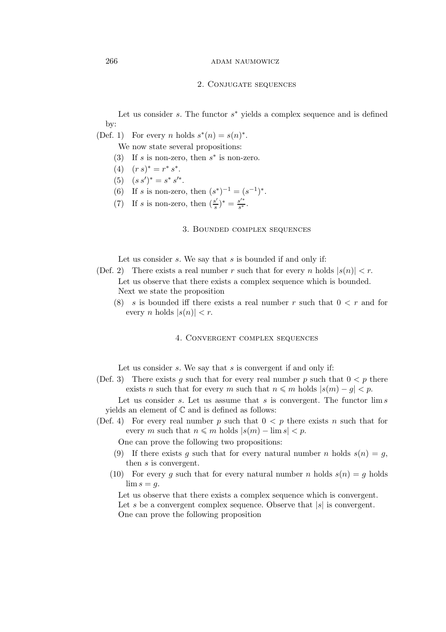## 266 ADAM NAUMOWICZ

#### 2. Conjugate sequences

Let us consider s. The functor  $s^*$  yields a complex sequence and is defined by:

(Def. 1) For every *n* holds  $s^*(n) = s(n)^*$ .

We now state several propositions:

- (3) If s is non-zero, then  $s^*$  is non-zero.
- (4)  $(r s)^* = r^* s^*$ .
- (5)  $(s s')^* = s^* s'^*$ .
- (6) If s is non-zero, then  $(s^*)^{-1} = (s^{-1})^*$ .
- (7) If *s* is non-zero, then  $\left(\frac{s'}{s}\right)$  $\frac{s'}{s}$ <sup>\*</sup> =  $\frac{s'^*}{s^*}$  $\frac{s^{2}}{s^{*}}$ .

## 3. Bounded complex sequences

Let us consider  $s$ . We say that  $s$  is bounded if and only if:

- (Def. 2) There exists a real number r such that for every n holds  $|s(n)| < r$ . Let us observe that there exists a complex sequence which is bounded. Next we state the proposition
	- (8) s is bounded iff there exists a real number r such that  $0 < r$  and for every *n* holds  $|s(n)| < r$ .

## 4. Convergent complex sequences

Let us consider s. We say that s is convergent if and only if:

(Def. 3) There exists g such that for every real number p such that  $0 < p$  there exists *n* such that for every *m* such that  $n \leq m$  holds  $|s(m) - g| < p$ .

Let us consider s. Let us assume that s is convergent. The functor  $\lim s$ yields an element of  $\mathbb C$  and is defined as follows:

(Def. 4) For every real number p such that  $0 < p$  there exists n such that for every m such that  $n \leq m$  holds  $|s(m) - \lim s| < p$ .

One can prove the following two propositions:

- (9) If there exists g such that for every natural number n holds  $s(n) = g$ , then s is convergent.
- (10) For every g such that for every natural number n holds  $s(n) = g$  holds  $\lim s = q$ .

Let us observe that there exists a complex sequence which is convergent. Let s be a convergent complex sequence. Observe that  $|s|$  is convergent. One can prove the following proposition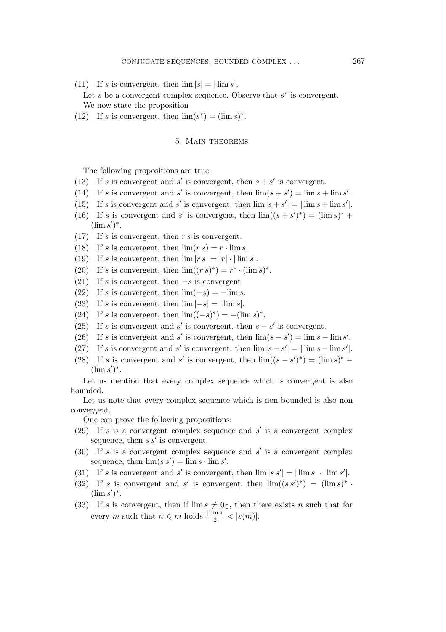(11) If s is convergent, then  $\lim |s| = |\lim s|$ .

Let  $s$  be a convergent complex sequence. Observe that  $s^*$  is convergent.

We now state the proposition

(12) If s is convergent, then  $\lim(s^*) = (\lim s)^*$ .

## 5. Main theorems

The following propositions are true:

- (13) If s is convergent and s' is convergent, then  $s + s'$  is convergent.
- (14) If s is convergent and s' is convergent, then  $\lim(s + s') = \lim s + \lim s'$ .
- (15) If s is convergent and s' is convergent, then  $\lim |s + s'| = |\lim s + \lim s'|$ .
- (16) If s is convergent and s' is convergent, then  $\lim((s + s')^*) = (\lim s)^*$  +  $(\lim s')^*$ .
- (17) If s is convergent, then  $r s$  is convergent.
- (18) If s is convergent, then  $\lim (rs) = r \cdot \lim s$ .
- (19) If s is convergent, then  $\lim |rs| = |r| \cdot |\lim s|$ .
- (20) If s is convergent, then  $\lim((rs)^*) = r^* \cdot (\lim s)^*$ .
- (21) If s is convergent, then *−*s is convergent.
- (22) If s is convergent, then  $\lim_{s \to \infty}$   $(-s) = -\lim_{s \to \infty} s$ .
- (23) If s is convergent, then  $\lim |-s| = |\lim s|$ .
- (24) If s is convergent, then  $\lim ((-s)^*) = -(\lim s)^*$ .
- (25) If s is convergent and s' is convergent, then  $s s'$  is convergent.
- (26) If s is convergent and s' is convergent, then  $\lim(s s') = \lim s \lim s'$ .
- (27) If s is convergent and s' is convergent, then  $\lim |s s'| = |\lim s \lim s'|$ .
- (28) If s is convergent and s' is convergent, then  $\lim((s s')^*) = (\lim s)^*$  $(\lim s')^*$ .

Let us mention that every complex sequence which is convergent is also bounded.

Let us note that every complex sequence which is non bounded is also non convergent.

One can prove the following propositions:

- (29) If s is a convergent complex sequence and s *′* is a convergent complex sequence, then s s*′* is convergent.
- (30) If s is a convergent complex sequence and s *′* is a convergent complex sequence, then  $\lim(s s') = \lim s \cdot \lim s'$ .
- (31) If s is convergent and s' is convergent, then  $\lim |s s'| = |\lim s| \cdot |\lim s'|$ .
- (32) If s is convergent and s' is convergent, then  $\lim((s s')^*) = (\lim s)^*$ .  $(\lim s')^*$ .
- (33) If s is convergent, then if  $\lim s \neq 0 \infty$ , then there exists n such that for every *m* such that  $n \leq m$  holds  $\frac{|\lim s|}{2} < |s(m)|$ .